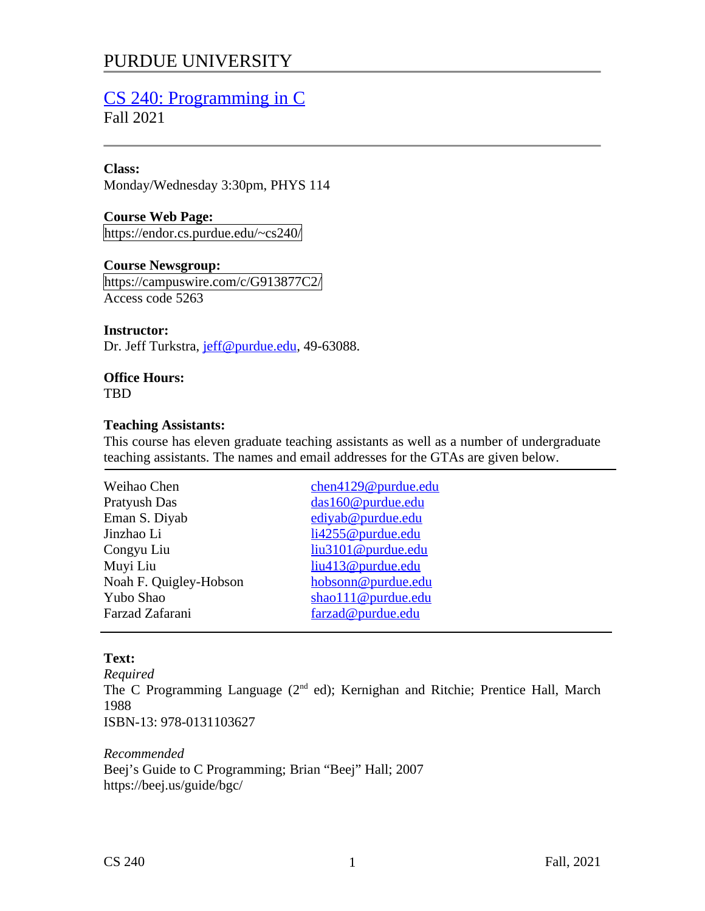# PURDUE UNIVERSITY

# [CS 240: Programming in C](https://endor.cs.purdue.edu/~cs240/)

Fall 2021

#### **Class:**

Monday/Wednesday 3:30pm, PHYS 114

## **Course Web Page:**

https://endor.cs.purdue.edu/~cs240/

#### **Course Newsgroup:**

https://campuswire.com/c/G913877C2/ Access code 5263

#### **Instructor:**

Dr. Jeff Turkstra, jeff@purdue.edu, 49-63088.

# **Office Hours:**

TBD

#### **Teaching Assistants:**

This course has eleven graduate teaching assistants as well as a number of undergraduate teaching assistants. The names and email addresses for the GTAs are given below.

| Weihao Chen            | chen4129@purdue.edu |
|------------------------|---------------------|
| Pratyush Das           | das160@purdue.edu   |
| Eman S. Diyab          | ediyab@purdue.edu   |
| Jinzhao Li             | li4255@purdue.edu   |
| Congyu Liu             | liu3101@purdue.edu  |
| Muyi Liu               | liu413@purdue.edu   |
| Noah F. Quigley-Hobson | hobsonn@purdue.edu  |
| Yubo Shao              | shao111@purdue.edu  |
| Farzad Zafarani        | farzad@purdue.edu   |
|                        |                     |

# **Text:**

*Required* The C Programming Language ( $2<sup>nd</sup>$  ed); Kernighan and Ritchie; Prentice Hall, March 1988 ISBN-13: 978-0131103627

*Recommended* Beej's Guide to C Programming; Brian "Beej" Hall; 2007 https://beej.us/guide/bgc/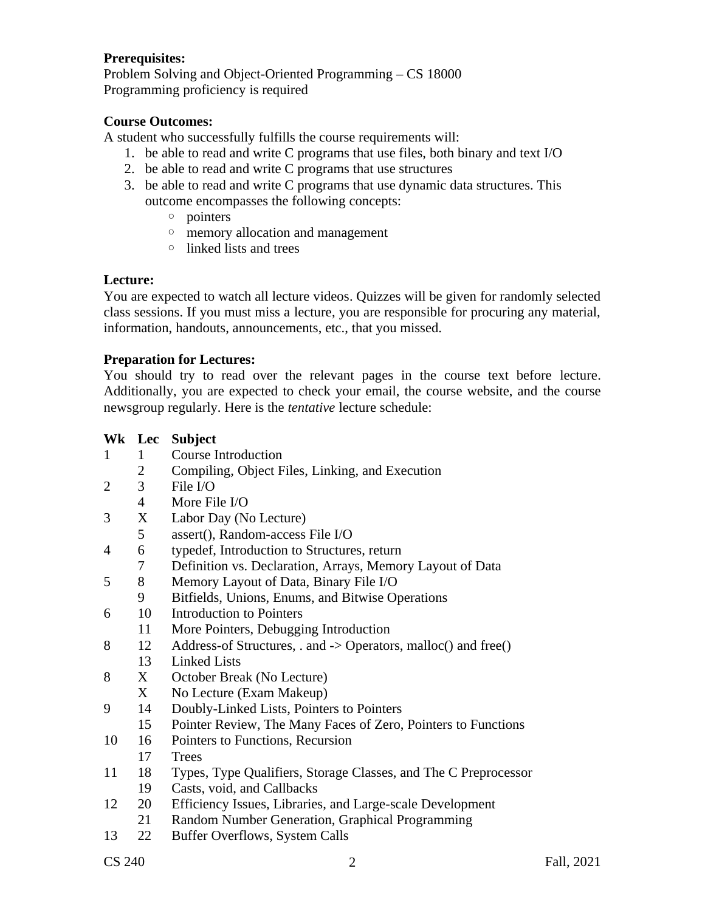#### **Prerequisites:**

Problem Solving and Object-Oriented Programming – CS 18000 Programming proficiency is required

#### **Course Outcomes:**

A student who successfully fulfills the course requirements will:

- 1. be able to read and write C programs that use files, both binary and text I/O
- 2. be able to read and write C programs that use structures
- 3. be able to read and write C programs that use dynamic data structures. This outcome encompasses the following concepts:
	- pointers
	- memory allocation and management
	- linked lists and trees

#### **Lecture:**

You are expected to watch all lecture videos. Quizzes will be given for randomly selected class sessions. If you must miss a lecture, you are responsible for procuring any material, information, handouts, announcements, etc., that you missed.

#### **Preparation for Lectures:**

You should try to read over the relevant pages in the course text before lecture. Additionally, you are expected to check your email, the course website, and the course newsgroup regularly. Here is the *tentative* lecture schedule:

|              |                | Wk Lec Subject                                                  |
|--------------|----------------|-----------------------------------------------------------------|
| $\mathbf{1}$ | $\mathbf{1}$   | <b>Course Introduction</b>                                      |
|              | $2^{\circ}$    | Compiling, Object Files, Linking, and Execution                 |
| 2            | 3 <sup>7</sup> | File I/O                                                        |
|              | $\overline{4}$ | More File I/O                                                   |
| 3            | X              | Labor Day (No Lecture)                                          |
|              | 5              | assert(), Random-access File I/O                                |
| 4            | 6              | typedef, Introduction to Structures, return                     |
|              | 7              | Definition vs. Declaration, Arrays, Memory Layout of Data       |
| 5            | 8              | Memory Layout of Data, Binary File I/O                          |
|              | 9              | Bitfields, Unions, Enums, and Bitwise Operations                |
| 6            | 10             | <b>Introduction to Pointers</b>                                 |
|              | 11             | More Pointers, Debugging Introduction                           |
| 8            | 12             | Address-of Structures, . and -> Operators, malloc() and free()  |
|              | 13             | <b>Linked Lists</b>                                             |
| 8            | X              | October Break (No Lecture)                                      |
|              | X              | No Lecture (Exam Makeup)                                        |
| 9            | 14             | Doubly-Linked Lists, Pointers to Pointers                       |
|              | 15             | Pointer Review, The Many Faces of Zero, Pointers to Functions   |
| 10           | 16             | Pointers to Functions, Recursion                                |
|              | 17             | <b>Trees</b>                                                    |
| 11           | 18             | Types, Type Qualifiers, Storage Classes, and The C Preprocessor |
|              | 19             | Casts, void, and Callbacks                                      |
| 12           | 20             | Efficiency Issues, Libraries, and Large-scale Development       |
|              | 21             | Random Number Generation, Graphical Programming                 |
| 13           | 22             | <b>Buffer Overflows, System Calls</b>                           |
|              |                |                                                                 |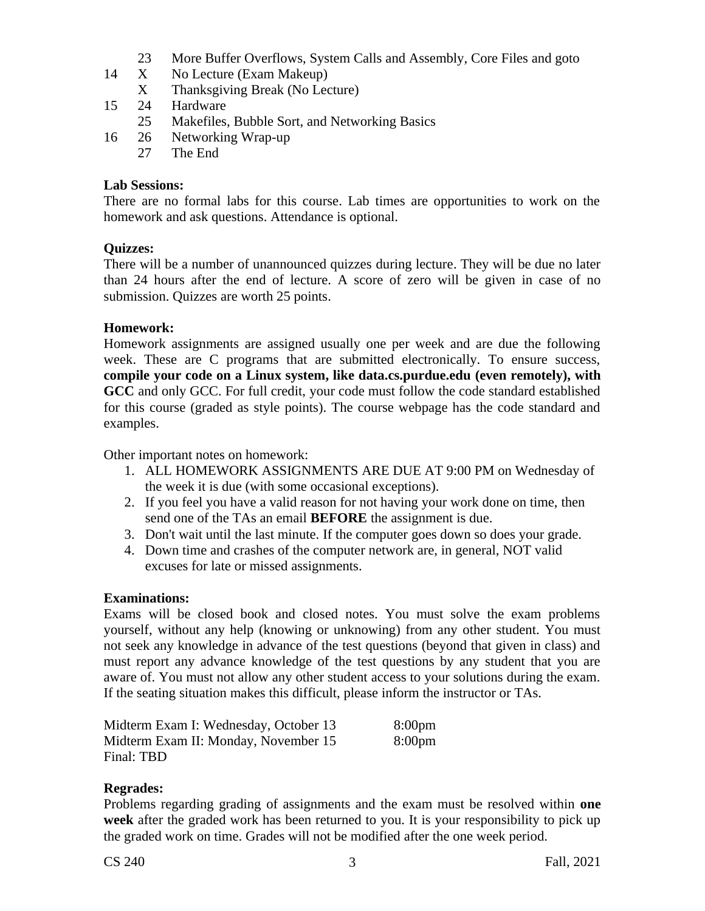- 23 More Buffer Overflows, System Calls and Assembly, Core Files and goto
- 14 X No Lecture (Exam Makeup) X Thanksgiving Break (No Lecture)
- 15 24 Hardware
	- 25 Makefiles, Bubble Sort, and Networking Basics
- 16 26 Networking Wrap-up
	- 27 The End

#### **Lab Sessions:**

There are no formal labs for this course. Lab times are opportunities to work on the homework and ask questions. Attendance is optional.

#### **Quizzes:**

There will be a number of unannounced quizzes during lecture. They will be due no later than 24 hours after the end of lecture. A score of zero will be given in case of no submission. Quizzes are worth 25 points.

#### **Homework:**

Homework assignments are assigned usually one per week and are due the following week. These are C programs that are submitted electronically. To ensure success, **compile your code on a Linux system, like data.cs.purdue.edu (even remotely), with GCC** and only GCC. For full credit, your code must follow the code standard established for this course (graded as style points). The course webpage has the code standard and examples.

Other important notes on homework:

- 1. ALL HOMEWORK ASSIGNMENTS ARE DUE AT 9:00 PM on Wednesday of the week it is due (with some occasional exceptions).
- 2. If you feel you have a valid reason for not having your work done on time, then send one of the TAs an email **BEFORE** the assignment is due.
- 3. Don't wait until the last minute. If the computer goes down so does your grade.
- 4. Down time and crashes of the computer network are, in general, NOT valid excuses for late or missed assignments.

#### **Examinations:**

Exams will be closed book and closed notes. You must solve the exam problems yourself, without any help (knowing or unknowing) from any other student. You must not seek any knowledge in advance of the test questions (beyond that given in class) and must report any advance knowledge of the test questions by any student that you are aware of. You must not allow any other student access to your solutions during the exam. If the seating situation makes this difficult, please inform the instructor or TAs.

| Midterm Exam I: Wednesday, October 13 | 8:00 <sub>pm</sub> |
|---------------------------------------|--------------------|
| Midterm Exam II: Monday, November 15  | 8:00 <sub>pm</sub> |
| Final: TBD                            |                    |

#### **Regrades:**

Problems regarding grading of assignments and the exam must be resolved within **one week** after the graded work has been returned to you. It is your responsibility to pick up the graded work on time. Grades will not be modified after the one week period.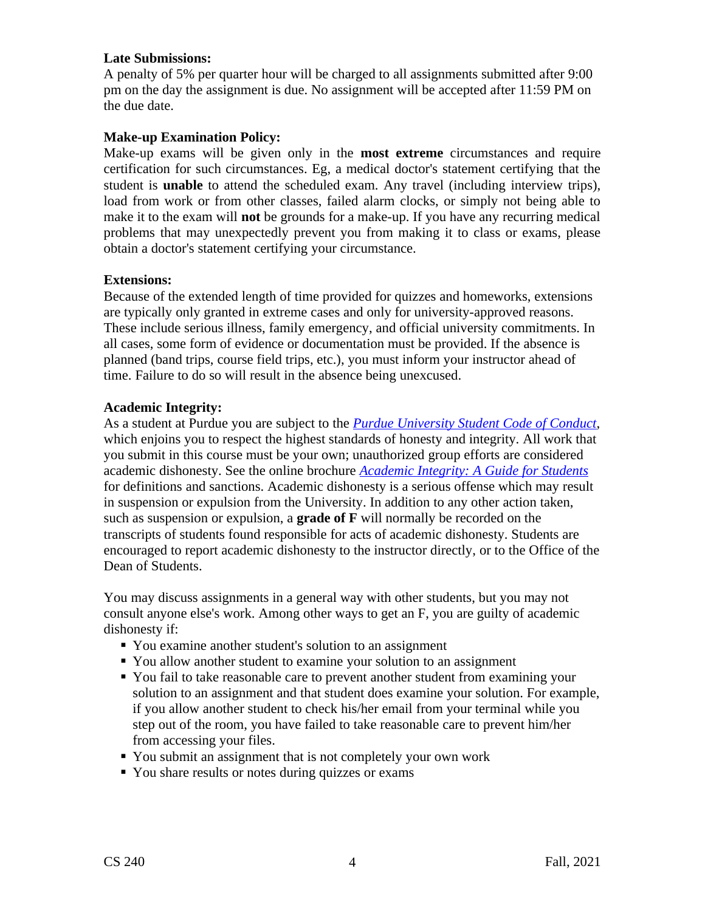#### **Late Submissions:**

A penalty of 5% per quarter hour will be charged to all assignments submitted after 9:00 pm on the day the assignment is due. No assignment will be accepted after 11:59 PM on the due date.

#### **Make-up Examination Policy:**

Make-up exams will be given only in the **most extreme** circumstances and require certification for such circumstances. Eg, a medical doctor's statement certifying that the student is **unable** to attend the scheduled exam. Any travel (including interview trips), load from work or from other classes, failed alarm clocks, or simply not being able to make it to the exam will **not** be grounds for a make-up. If you have any recurring medical problems that may unexpectedly prevent you from making it to class or exams, please obtain a doctor's statement certifying your circumstance.

#### **Extensions:**

Because of the extended length of time provided for quizzes and homeworks, extensions are typically only granted in extreme cases and only for university-approved reasons. These include serious illness, family emergency, and official university commitments. In all cases, some form of evidence or documentation must be provided. If the absence is planned (band trips, course field trips, etc.), you must inform your instructor ahead of time. Failure to do so will result in the absence being unexcused.

# **Academic Integrity:**

As a student at Purdue you are subject to the *[Purdue University Student Code of Conduct](http://www.purdue.edu/studentregulations/student_conduct/index.html)*, which enjoins you to respect the highest standards of honesty and integrity. All work that you submit in this course must be your own; unauthorized group efforts are considered academic dishonesty. See the online brochure *[Academic Integrity: A Guide for Students](http://www.purdue.edu/odos/osrr/academic-integrity/index.html)* for definitions and sanctions. Academic dishonesty is a serious offense which may result in suspension or expulsion from the University. In addition to any other action taken, such as suspension or expulsion, a **grade of F** will normally be recorded on the transcripts of students found responsible for acts of academic dishonesty. Students are encouraged to report academic dishonesty to the instructor directly, or to the Office of the Dean of Students.

You may discuss assignments in a general way with other students, but you may not consult anyone else's work. Among other ways to get an F, you are guilty of academic dishonesty if:

- You examine another student's solution to an assignment
- You allow another student to examine your solution to an assignment
- You fail to take reasonable care to prevent another student from examining your solution to an assignment and that student does examine your solution. For example, if you allow another student to check his/her email from your terminal while you step out of the room, you have failed to take reasonable care to prevent him/her from accessing your files.
- You submit an assignment that is not completely your own work
- You share results or notes during quizzes or exams